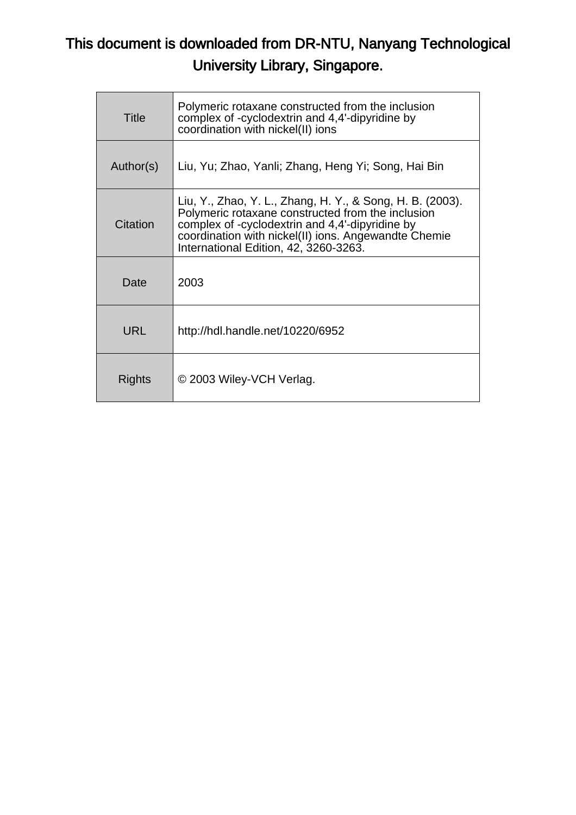# This document is downloaded from DR-NTU, Nanyang Technological University Library, Singapore.

| Title      | Polymeric rotaxane constructed from the inclusion<br>complex of -cyclodextrin and 4,4'-dipyridine by<br>coordination with nickel(II) ions                                                                                                                          |
|------------|--------------------------------------------------------------------------------------------------------------------------------------------------------------------------------------------------------------------------------------------------------------------|
| Author(s)  | Liu, Yu; Zhao, Yanli; Zhang, Heng Yi; Song, Hai Bin                                                                                                                                                                                                                |
| Citation   | Liu, Y., Zhao, Y. L., Zhang, H. Y., & Song, H. B. (2003).<br>Polymeric rotaxane constructed from the inclusion<br>complex of -cyclodextrin and 4,4'-dipyridine by<br>coordination with nickel(II) ions. Angewandte Chemie<br>International Edition, 42, 3260-3263. |
| Date       | 2003                                                                                                                                                                                                                                                               |
| <b>URL</b> | http://hdl.handle.net/10220/6952                                                                                                                                                                                                                                   |
| Rights     | © 2003 Wiley-VCH Verlag.                                                                                                                                                                                                                                           |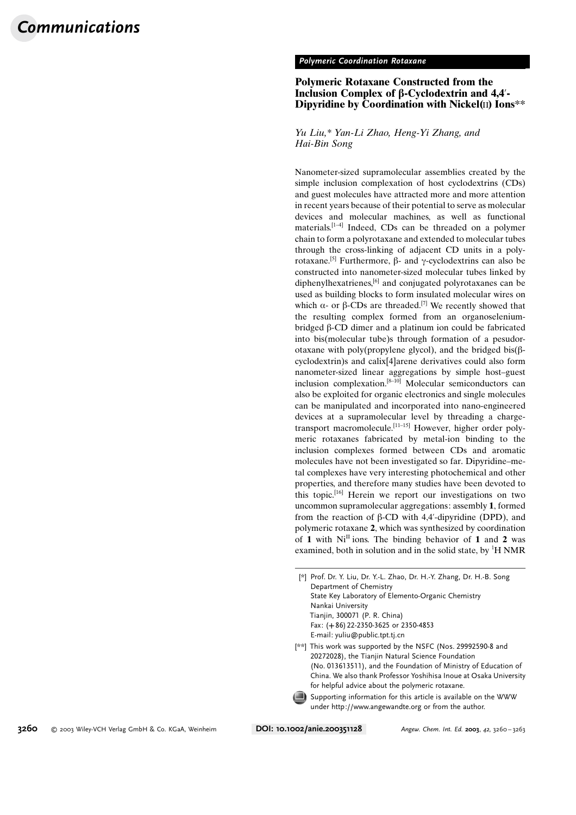#### Polymeric Coordination Rotaxane

## Polymeric Rotaxane Constructed from the Inclusion Complex of  $\beta$ -Cyclodextrin and 4,4'-Dipyridine by Coordination with Nickel $(II)$  Ions\*\*

### Yu Liu,\* Yan-Li Zhao, Heng-Yi Zhang, and Hai-Bin Song

Nanometer-sized supramolecular assemblies created by the simple inclusion complexation of host cyclodextrins (CDs) and guest molecules have attracted more and more attention in recent years because of their potential to serve as molecular devices and molecular machines, as well as functional materials.[1–4] Indeed, CDs can be threaded on a polymer chain to form a polyrotaxane and extended to molecular tubes through the cross-linking of adjacent CD units in a polyrotaxane.<sup>[5]</sup> Furthermore,  $\beta$ - and y-cyclodextrins can also be constructed into nanometer-sized molecular tubes linked by diphenylhexatrienes,[6] and conjugated polyrotaxanes can be used as building blocks to form insulated molecular wires on which  $\alpha$ - or  $\beta$ -CDs are threaded.<sup>[7]</sup> We recently showed that the resulting complex formed from an organoseleniumbridged  $\beta$ -CD dimer and a platinum ion could be fabricated into bis(molecular tube)s through formation of a pesudorotaxane with poly(propylene glycol), and the bridged bis( $\beta$ cyclodextrin)s and calix[4]arene derivatives could also form nanometer-sized linear aggregations by simple host–guest inclusion complexation.[8–10] Molecular semiconductors can also be exploited for organic electronics and single molecules can be manipulated and incorporated into nano-engineered devices at a supramolecular level by threading a chargetransport macromolecule.[11–15] However, higher order polymeric rotaxanes fabricated by metal-ion binding to the inclusion complexes formed between CDs and aromatic molecules have not been investigated so far. Dipyridine–metal complexes have very interesting photochemical and other properties, and therefore many studies have been devoted to this topic.[16] Herein we report our investigations on two uncommon supramolecular aggregations: assembly 1, formed from the reaction of  $\beta$ -CD with 4,4'-dipyridine (DPD), and polymeric rotaxane 2, which was synthesized by coordination of 1 with  $Ni<sup>II</sup>$  ions. The binding behavior of 1 and 2 was examined, both in solution and in the solid state, by  ${}^{1}$ H NMR

[\*] Prof. Dr. Y. Liu, Dr. Y.-L. Zhao, Dr. H.-Y. Zhang, Dr. H.-B. Song Department of Chemistry State Key Laboratory of Elemento-Organic Chemistry Nankai University Tianjin, 300071 (P. R. China) Fax: (+86) 22-2350-3625 or 2350-4853 E-mail: yuliu@public.tpt.tj.cn

[\*\*] This work was supported by the NSFC (Nos. 29992590-8 and 20272028), the Tianjin Natural Science Foundation (No. 013613511), and the Foundation of Ministry of Education of China. We also thank Professor Yoshihisa Inoue at Osaka University for helpful advice about the polymeric rotaxane.

Supporting information for this article is available on the WWW under http://www.angewandte.org or from the author.

3260 2003 Wiley-VCH Verlag GmbH & Co. KGaA, Weinheim DOI: 10.1002/anie.200351128 Angew. Chem. Int. Ed. <sup>2003</sup>, <sup>42</sup>, 3260 – 3263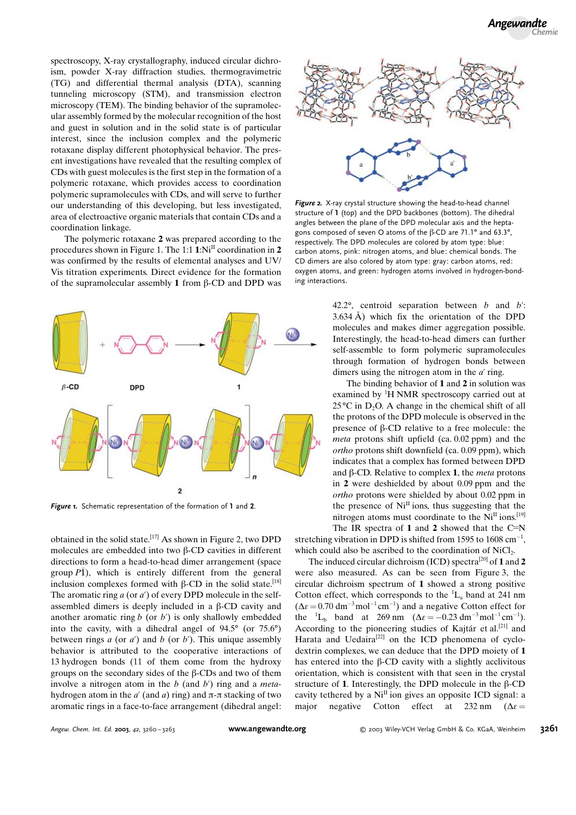spectroscopy, X-ray crystallography, induced circular dichroism, powder X-ray diffraction studies, thermogravimetric (TG) and differential thermal analysis (DTA), scanning tunneling microscopy (STM), and transmission electron microscopy (TEM). The binding behavior of the supramolecular assembly formed by the molecular recognition of the host and guest in solution and in the solid state is of particular interest, since the inclusion complex and the polymeric rotaxane display different photophysical behavior. The present investigations have revealed that the resulting complex of CDs with guest molecules is the first step in the formation of a polymeric rotaxane, which provides access to coordination polymeric supramolecules with CDs, and will serve to further our understanding of this developing, but less investigated, area of electroactive organic materials that contain CDs and a coordination linkage.

The polymeric rotaxane 2 was prepared according to the procedures shown in Figure 1. The 1:1  $1:N$ <sup>II</sup> coordination in 2 was confirmed by the results of elemental analyses and UV/ Vis titration experiments. Direct evidence for the formation of the supramolecular assembly 1 from  $\beta$ -CD and DPD was



Figure 1. Schematic representation of the formation of 1 and 2.

obtained in the solid state.[17] As shown in Figure 2, two DPD molecules are embedded into two  $\beta$ -CD cavities in different directions to form a head-to-head dimer arrangement (space group  $\overline{P1}$ ), which is entirely different from the general inclusion complexes formed with  $\beta$ -CD in the solid state.<sup>[18]</sup> The aromatic ring  $a$  (or  $a'$ ) of every DPD molecule in the selfassembled dimers is deeply included in a  $\beta$ -CD cavity and another aromatic ring  $b$  (or  $b'$ ) is only shallowly embedded into the cavity, with a dihedral angel of  $94.5^{\circ}$  (or  $75.6^{\circ}$ ) between rings  $a$  (or  $a'$ ) and  $b$  (or  $b'$ ). This unique assembly behavior is attributed to the cooperative interactions of 13 hydrogen bonds (11 of them come from the hydroxy groups on the secondary sides of the  $\beta$ -CDs and two of them involve a nitrogen atom in the  $b$  (and  $b'$ ) ring and a *meta*hydrogen atom in the  $a'$  (and a) ring) and  $\pi$ - $\pi$  stacking of two aromatic rings in a face-to-face arrangement (dihedral angel:



Figure 2. X-ray crystal structure showing the head-to-head channel structure of 1 (top) and the DPD backbones (bottom). The dihedral angles between the plane of the DPD molecular axis and the heptagons composed of seven O atoms of the  $\beta$ -CD are 71.1° and 63.3°, respectively. The DPD molecules are colored by atom type: blue: carbon atoms, pink: nitrogen atoms, and blue: chemical bonds. The CD dimers are also colored by atom type: gray: carbon atoms, red: oxygen atoms, and green: hydrogen atoms involved in hydrogen-bonding interactions.

42.2°, centroid separation between  $b$  and  $b'$ :  $3.634 \text{ Å}$ ) which fix the orientation of the DPD molecules and makes dimer aggregation possible. Interestingly, the head-to-head dimers can further self-assemble to form polymeric supramolecules through formation of hydrogen bonds between dimers using the nitrogen atom in the  $a'$  ring.

The binding behavior of 1 and 2 in solution was examined by <sup>1</sup>H NMR spectroscopy carried out at  $25^{\circ}$ C in D<sub>2</sub>O. A change in the chemical shift of all the protons of the DPD molecule is observed in the presence of  $\beta$ -CD relative to a free molecule: the meta protons shift upfield (ca. 0.02 ppm) and the ortho protons shift downfield (ca. 0.09 ppm), which indicates that a complex has formed between DPD and  $\beta$ -CD. Relative to complex 1, the *meta* protons in 2 were deshielded by about 0.09 ppm and the ortho protons were shielded by about 0.02 ppm in the presence of  $Ni<sup>II</sup>$  ions, thus suggesting that the nitrogen atoms must coordinate to the  $Ni<sup>H</sup>$  ions.<sup>[19]</sup> The IR spectra of 1 and 2 showed that the  $C=N$ 

stretching vibration in DPD is shifted from 1595 to 1608  $cm^{-1}$ , which could also be ascribed to the coordination of NiCl<sub>2</sub>.

The induced circular dichroism (ICD) spectra<sup>[20]</sup> of 1 and 2 were also measured. As can be seen from Figure 3, the circular dichroism spectrum of 1 showed a strong positive Cotton effect, which corresponds to the  ${}^{1}L_{a}$  band at 241 nm  $(\Delta \varepsilon = 0.70 \text{ dm}^{-3} \text{mol}^{-1} \text{cm}^{-1})$  and a negative Cotton effect for the  ${}^{1}L_{b}$  band at 269 nm ( $\Delta \varepsilon = -0.23$  dm<sup>-3</sup>mol<sup>-1</sup> cm<sup>-1</sup>). According to the pioneering studies of Kajtár et al.<sup>[21]</sup> and Harata and Uedaira<sup>[22]</sup> on the ICD phenomena of cyclodextrin complexes, we can deduce that the DPD moiety of 1 has entered into the  $\beta$ -CD cavity with a slightly acclivitous orientation, which is consistent with that seen in the crystal structure of 1. Interestingly, the DPD molecule in the  $\beta$ -CD cavity tethered by a  $Ni<sup>H</sup>$  ion gives an opposite ICD signal: a major negative Cotton effect at 232 nm ( $\Delta \epsilon$  =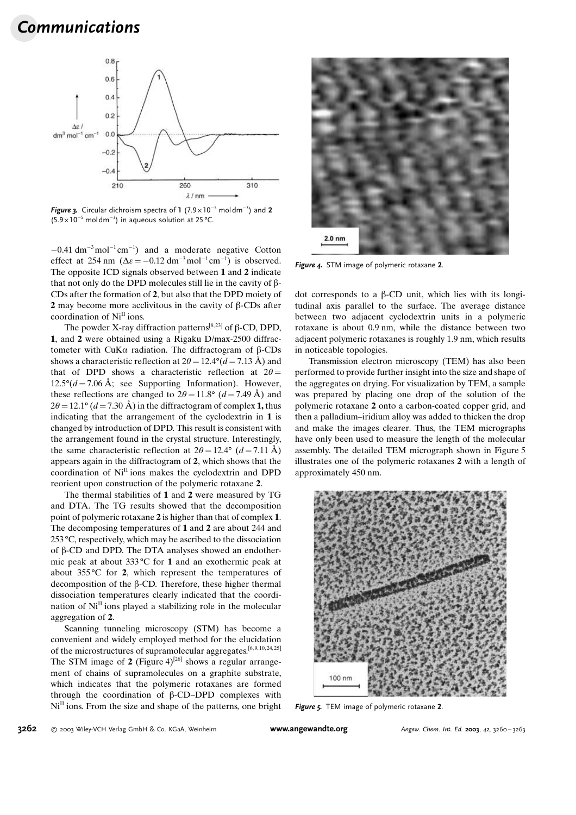

Figure 3. Circular dichroism spectra of  $1$  (7.9 x 10<sup>-5</sup> moldm<sup>-3</sup>) and 2  $(5.9 \times 10^{-5} \text{ mol dm}^{-3})$  in aqueous solution at 25 °C.

 $-0.41$  dm<sup>-3</sup>mol<sup>-1</sup> cm<sup>-1</sup>) and a moderate negative Cotton effect at 254 nm  $(\Delta \varepsilon = -0.12 \text{ dm}^{-3} \text{mol}^{-1} \text{cm}^{-1})$  is observed. The opposite ICD signals observed between 1 and 2 indicate that not only do the DPD molecules still lie in the cavity of  $\beta$ -CDs after the formation of 2, but also that the DPD moiety of 2 may become more acclivitous in the cavity of  $\beta$ -CDs after coordination of  $Ni<sup>II</sup>$  ions.

The powder X-ray diffraction patterns<sup>[8,23]</sup> of  $\beta$ -CD, DPD, 1, and 2 were obtained using a Rigaku D/max-2500 diffractometer with CuK $\alpha$  radiation. The diffractogram of  $\beta$ -CDs shows a characteristic reflection at  $2\theta = 12.4^{\circ} (d = 7.13 \text{ Å})$  and that of DPD shows a characteristic reflection at  $2\theta =$  $12.5^{\circ}$ (d = 7.06 Å; see Supporting Information). However, these reflections are changed to  $2\theta = 11.8$ ° ( $d = 7.49$  Å) and  $2\theta = 12.1^{\circ}$  (d = 7.30 Å) in the diffractogram of complex 1, thus indicating that the arrangement of the cyclodextrin in 1 is changed by introduction of DPD. This result is consistent with the arrangement found in the crystal structure. Interestingly, the same characteristic reflection at  $2\theta = 12.4^{\circ}$  (d = 7.11 Å) appears again in the diffractogram of 2, which shows that the coordination of  $Ni<sup>II</sup>$  ions makes the cyclodextrin and DPD reorient upon construction of the polymeric rotaxane 2.

The thermal stabilities of 1 and 2 were measured by TG and DTA. The TG results showed that the decomposition point of polymeric rotaxane 2 is higher than that of complex 1. The decomposing temperatures of 1 and 2 are about 244 and  $253 \degree C$ , respectively, which may be ascribed to the dissociation of  $\beta$ -CD and DPD. The DTA analyses showed an endothermic peak at about  $333^{\circ}$ C for 1 and an exothermic peak at about  $355^{\circ}$ C for 2, which represent the temperatures of decomposition of the  $\beta$ -CD. Therefore, these higher thermal dissociation temperatures clearly indicated that the coordination of  $Ni<sup>II</sup>$  ions played a stabilizing role in the molecular aggregation of 2.

Scanning tunneling microscopy (STM) has become a convenient and widely employed method for the elucidation of the microstructures of supramolecular aggregates.<sup>[6, 9, 10, 24, 25]</sup> The STM image of 2 (Figure 4)<sup>[26]</sup> shows a regular arrangement of chains of supramolecules on a graphite substrate, which indicates that the polymeric rotaxanes are formed through the coordination of  $\beta$ -CD–DPD complexes with  $Ni<sup>II</sup>$  ions. From the size and shape of the patterns, one bright



Figure 4. STM image of polymeric rotaxane 2.

dot corresponds to a  $\beta$ -CD unit, which lies with its longitudinal axis parallel to the surface. The average distance between two adjacent cyclodextrin units in a polymeric rotaxane is about 0.9 nm, while the distance between two adjacent polymeric rotaxanes is roughly 1.9 nm, which results in noticeable topologies.

Transmission electron microscopy (TEM) has also been performed to provide further insight into the size and shape of the aggregates on drying. For visualization by TEM, a sample was prepared by placing one drop of the solution of the polymeric rotaxane 2 onto a carbon-coated copper grid, and then a palladium–iridium alloy was added to thicken the drop and make the images clearer. Thus, the TEM micrographs have only been used to measure the length of the molecular assembly. The detailed TEM micrograph shown in Figure 5 illustrates one of the polymeric rotaxanes 2 with a length of approximately 450 nm.



Figure 5. TEM image of polymeric rotaxane 2.